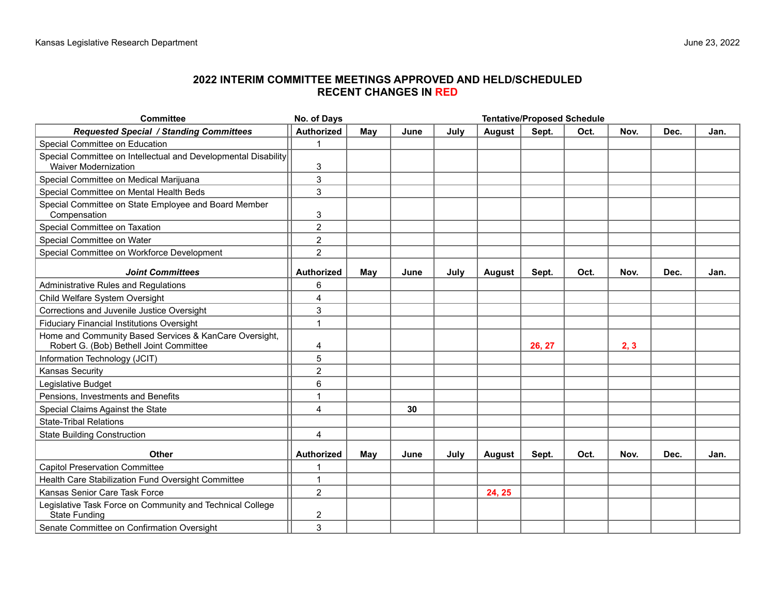## **2022 INTERIM COMMITTEE MEETINGS APPROVED AND HELD/SCHEDULED RECENT CHANGES IN RED**

| <b>Committee</b>                                                                                  | <b>Tentative/Proposed Schedule</b><br>No. of Days |     |      |      |        |        |      |      |      |      |
|---------------------------------------------------------------------------------------------------|---------------------------------------------------|-----|------|------|--------|--------|------|------|------|------|
| Requested Special / Standing Committees                                                           | <b>Authorized</b>                                 | May | June | July | August | Sept.  | Oct. | Nov. | Dec. | Jan. |
| Special Committee on Education                                                                    | $\overline{1}$                                    |     |      |      |        |        |      |      |      |      |
| Special Committee on Intellectual and Developmental Disability<br><b>Waiver Modernization</b>     | 3                                                 |     |      |      |        |        |      |      |      |      |
| Special Committee on Medical Marijuana                                                            | 3                                                 |     |      |      |        |        |      |      |      |      |
| Special Committee on Mental Health Beds                                                           | 3                                                 |     |      |      |        |        |      |      |      |      |
| Special Committee on State Employee and Board Member<br>Compensation                              | 3                                                 |     |      |      |        |        |      |      |      |      |
| Special Committee on Taxation                                                                     | $\overline{2}$                                    |     |      |      |        |        |      |      |      |      |
| Special Committee on Water                                                                        | $\overline{c}$                                    |     |      |      |        |        |      |      |      |      |
| Special Committee on Workforce Development                                                        | $\overline{2}$                                    |     |      |      |        |        |      |      |      |      |
| <b>Joint Committees</b>                                                                           | <b>Authorized</b>                                 | May | June | July | August | Sept.  | Oct. | Nov. | Dec. | Jan. |
| Administrative Rules and Regulations                                                              | 6                                                 |     |      |      |        |        |      |      |      |      |
| Child Welfare System Oversight                                                                    | 4                                                 |     |      |      |        |        |      |      |      |      |
| Corrections and Juvenile Justice Oversight                                                        | 3                                                 |     |      |      |        |        |      |      |      |      |
| <b>Fiduciary Financial Institutions Oversight</b>                                                 | 1                                                 |     |      |      |        |        |      |      |      |      |
| Home and Community Based Services & KanCare Oversight,<br>Robert G. (Bob) Bethell Joint Committee | 4                                                 |     |      |      |        | 26, 27 |      | 2, 3 |      |      |
| Information Technology (JCIT)                                                                     | 5                                                 |     |      |      |        |        |      |      |      |      |
| <b>Kansas Security</b>                                                                            | $\overline{c}$                                    |     |      |      |        |        |      |      |      |      |
| Legislative Budget                                                                                | 6                                                 |     |      |      |        |        |      |      |      |      |
| Pensions, Investments and Benefits                                                                | 1                                                 |     |      |      |        |        |      |      |      |      |
| Special Claims Against the State                                                                  | 4                                                 |     | 30   |      |        |        |      |      |      |      |
| <b>State-Tribal Relations</b>                                                                     |                                                   |     |      |      |        |        |      |      |      |      |
| <b>State Building Construction</b>                                                                | 4                                                 |     |      |      |        |        |      |      |      |      |
| Other                                                                                             | Authorized                                        | May | June | July | August | Sept.  | Oct. | Nov. | Dec. | Jan. |
| <b>Capitol Preservation Committee</b>                                                             | 1                                                 |     |      |      |        |        |      |      |      |      |
| Health Care Stabilization Fund Oversight Committee                                                | 1                                                 |     |      |      |        |        |      |      |      |      |
| Kansas Senior Care Task Force                                                                     | $\overline{c}$                                    |     |      |      | 24, 25 |        |      |      |      |      |
| Legislative Task Force on Community and Technical College<br><b>State Funding</b>                 | 2                                                 |     |      |      |        |        |      |      |      |      |
| Senate Committee on Confirmation Oversight                                                        | 3                                                 |     |      |      |        |        |      |      |      |      |